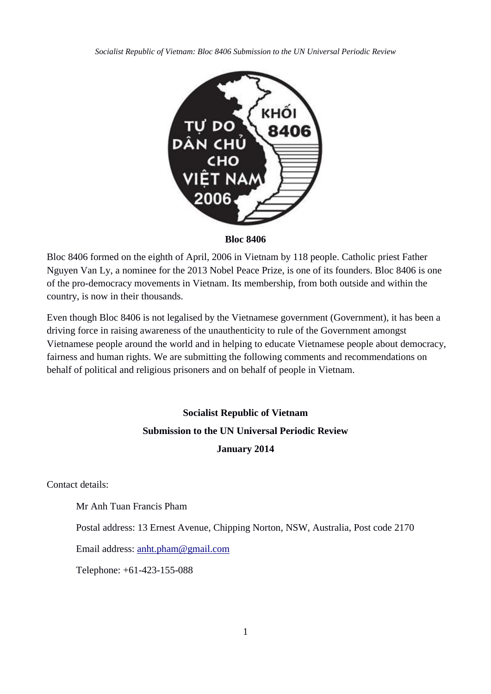*Socialist Republic of Vietnam: Bloc 8406 Submission to the UN Universal Periodic Review*



#### **Bloc 8406**

Bloc 8406 formed on the eighth of April, 2006 in Vietnam by 118 people. Catholic priest Father Nguyen Van Ly, a nominee for the 2013 Nobel Peace Prize, is one of its founders. Bloc 8406 is one of the pro-democracy movements in Vietnam. Its membership, from both outside and within the country, is now in their thousands.

Even though Bloc 8406 is not legalised by the Vietnamese government (Government), it has been a driving force in raising awareness of the unauthenticity to rule of the Government amongst Vietnamese people around the world and in helping to educate Vietnamese people about democracy, fairness and human rights. We are submitting the following comments and recommendations on behalf of political and religious prisoners and on behalf of people in Vietnam.

# **Socialist Republic of Vietnam**

# **Submission to the UN Universal Periodic Review January 2014**

Contact details:

Mr Anh Tuan Francis Pham

Postal address: 13 Ernest Avenue, Chipping Norton, NSW, Australia, Post code 2170

Email address: [anht.pham@gmail.com](mailto:anht.pham@gmail.com)

Telephone: +61-423-155-088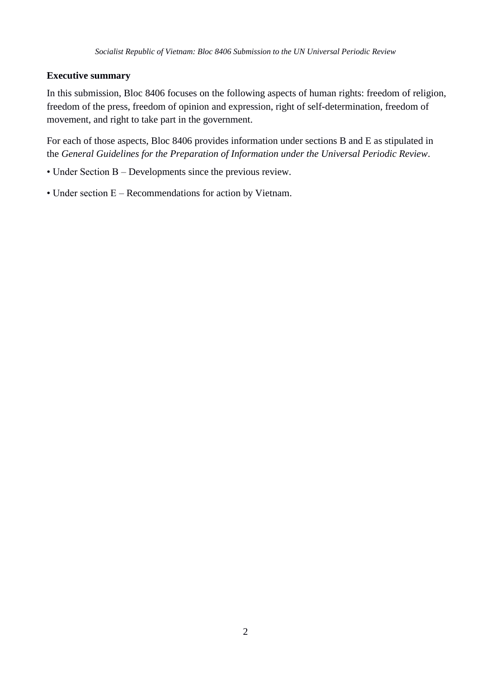### **Executive summary**

In this submission, Bloc 8406 focuses on the following aspects of human rights: freedom of religion, freedom of the press, freedom of opinion and expression, right of self-determination, freedom of movement, and right to take part in the government.

For each of those aspects, Bloc 8406 provides information under sections B and E as stipulated in the *General Guidelines for the Preparation of Information under the Universal Periodic Review*.

- Under Section B Developments since the previous review.
- Under section E Recommendations for action by Vietnam.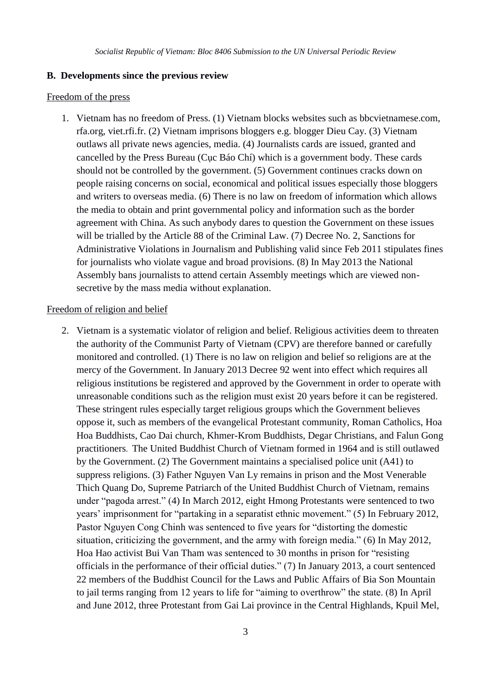#### **B. Developments since the previous review**

#### Freedom of the press

1. Vietnam has no freedom of Press. (1) Vietnam blocks websites such as bbcvietnamese.com, rfa.org, viet.rfi.fr. (2) Vietnam imprisons bloggers e.g. blogger Dieu Cay. (3) Vietnam outlaws all private news agencies, media. (4) Journalists cards are issued, granted and cancelled by the Press Bureau (Cục Báo Chí) which is a government body. These cards should not be controlled by the government. (5) Government continues cracks down on people raising concerns on social, economical and political issues especially those bloggers and writers to overseas media. (6) There is no law on freedom of information which allows the media to obtain and print governmental policy and information such as the border agreement with China. As such anybody dares to question the Government on these issues will be trialled by the Article 88 of the Criminal Law. (7) Decree No. 2, Sanctions for Administrative Violations in Journalism and Publishing valid since Feb 2011 stipulates fines for journalists who violate vague and broad provisions. (8) In May 2013 the National Assembly bans journalists to attend certain Assembly meetings which are viewed nonsecretive by the mass media without explanation.

#### Freedom of religion and belief

2. Vietnam is a systematic violator of religion and belief. Religious activities deem to threaten the authority of the Communist Party of Vietnam (CPV) are therefore banned or carefully monitored and controlled. (1) There is no law on religion and belief so religions are at the mercy of the Government. In January 2013 Decree 92 went into effect which requires all religious institutions be registered and approved by the Government in order to operate with unreasonable conditions such as the religion must exist 20 years before it can be registered. These stringent rules especially target religious groups which the Government believes oppose it, such as members of the evangelical Protestant community, Roman Catholics, Hoa Hoa Buddhists, Cao Dai church, Khmer-Krom Buddhists, Degar Christians, and Falun Gong practitioners. The United Buddhist Church of Vietnam formed in 1964 and is still outlawed by the Government. (2) The Government maintains a specialised police unit (A41) to suppress religions. (3) Father Nguyen Van Ly remains in prison and the Most Venerable Thich Quang Do, Supreme Patriarch of the United Buddhist Church of Vietnam, remains under "pagoda arrest." (4) In March 2012, eight Hmong Protestants were sentenced to two years' imprisonment for "partaking in a separatist ethnic movement." (5) In February 2012, Pastor Nguyen Cong Chinh was sentenced to five years for "distorting the domestic situation, criticizing the government, and the army with foreign media." (6) In May 2012, Hoa Hao activist Bui Van Tham was sentenced to 30 months in prison for "resisting officials in the performance of their official duties." (7) In January 2013, a court sentenced 22 members of the Buddhist Council for the Laws and Public Affairs of Bia Son Mountain to jail terms ranging from 12 years to life for "aiming to overthrow" the state. (8) In April and June 2012, three Protestant from Gai Lai province in the Central Highlands, Kpuil Mel,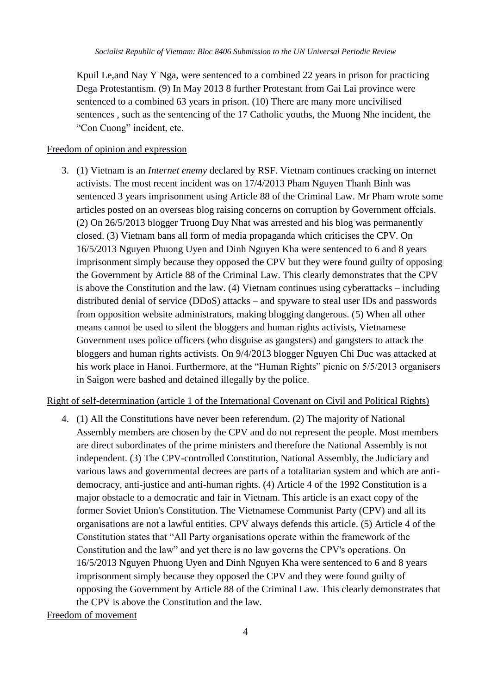Kpuil Le,and Nay Y Nga, were sentenced to a combined 22 years in prison for practicing Dega Protestantism. (9) In May 2013 8 further Protestant from Gai Lai province were sentenced to a combined 63 years in prison. (10) There are many more uncivilised sentences , such as the sentencing of the 17 Catholic youths, the Muong Nhe incident, the "Con Cuong" incident, etc.

#### Freedom of opinion and expression

3. (1) Vietnam is an *Internet enemy* declared by RSF. Vietnam continues cracking on internet activists. The most recent incident was on 17/4/2013 Pham Nguyen Thanh Binh was sentenced 3 years imprisonment using Article 88 of the Criminal Law. Mr Pham wrote some articles posted on an overseas blog raising concerns on corruption by Government offcials. (2) On 26/5/2013 blogger Truong Duy Nhat was arrested and his blog was permanently closed. (3) Vietnam bans all form of media propaganda which criticises the CPV. On 16/5/2013 Nguyen Phuong Uyen and Dinh Nguyen Kha were sentenced to 6 and 8 years imprisonment simply because they opposed the CPV but they were found guilty of opposing the Government by Article 88 of the Criminal Law. This clearly demonstrates that the CPV is above the Constitution and the law. (4) Vietnam continues using cyberattacks – including distributed denial of service (DDoS) attacks – and spyware to steal user IDs and passwords from opposition website administrators, making blogging dangerous. (5) When all other means cannot be used to silent the bloggers and human rights activists, Vietnamese Government uses police officers (who disguise as gangsters) and gangsters to attack the bloggers and human rights activists. On 9/4/2013 blogger Nguyen Chi Duc was attacked at his work place in Hanoi. Furthermore, at the "Human Rights" picnic on 5/5/2013 organisers in Saigon were bashed and detained illegally by the police.

Right of self-determination (article 1 of the International Covenant on Civil and Political Rights)

4. (1) All the Constitutions have never been referendum. (2) The majority of National Assembly members are chosen by the CPV and do not represent the people. Most members are direct subordinates of the prime ministers and therefore the National Assembly is not independent. (3) The CPV-controlled Constitution, National Assembly, the Judiciary and various laws and governmental decrees are parts of a totalitarian system and which are antidemocracy, anti-justice and anti-human rights. (4) Article 4 of the 1992 Constitution is a major obstacle to a democratic and fair in Vietnam. This article is an exact copy of the former Soviet Union's Constitution. The Vietnamese Communist Party (CPV) and all its organisations are not a lawful entities. CPV always defends this article. (5) Article 4 of the Constitution states that "All Party organisations operate within the framework of the Constitution and the law" and yet there is no law governs the CPV's operations. On 16/5/2013 Nguyen Phuong Uyen and Dinh Nguyen Kha were sentenced to 6 and 8 years imprisonment simply because they opposed the CPV and they were found guilty of opposing the Government by Article 88 of the Criminal Law. This clearly demonstrates that the CPV is above the Constitution and the law.

#### Freedom of movement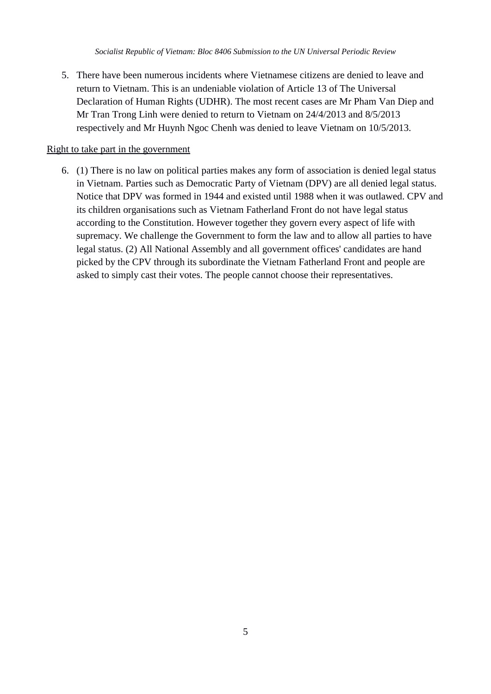5. There have been numerous incidents where Vietnamese citizens are denied to leave and return to Vietnam. This is an undeniable violation of Article 13 of The Universal Declaration of Human Rights (UDHR). The most recent cases are Mr Pham Van Diep and Mr Tran Trong Linh were denied to return to Vietnam on 24/4/2013 and 8/5/2013 respectively and Mr Huynh Ngoc Chenh was denied to leave Vietnam on 10/5/2013.

#### Right to take part in the government

6. (1) There is no law on political parties makes any form of association is denied legal status in Vietnam. Parties such as Democratic Party of Vietnam (DPV) are all denied legal status. Notice that DPV was formed in 1944 and existed until 1988 when it was outlawed. CPV and its children organisations such as Vietnam Fatherland Front do not have legal status according to the Constitution. However together they govern every aspect of life with supremacy. We challenge the Government to form the law and to allow all parties to have legal status. (2) All National Assembly and all government offices' candidates are hand picked by the CPV through its subordinate the Vietnam Fatherland Front and people are asked to simply cast their votes. The people cannot choose their representatives.